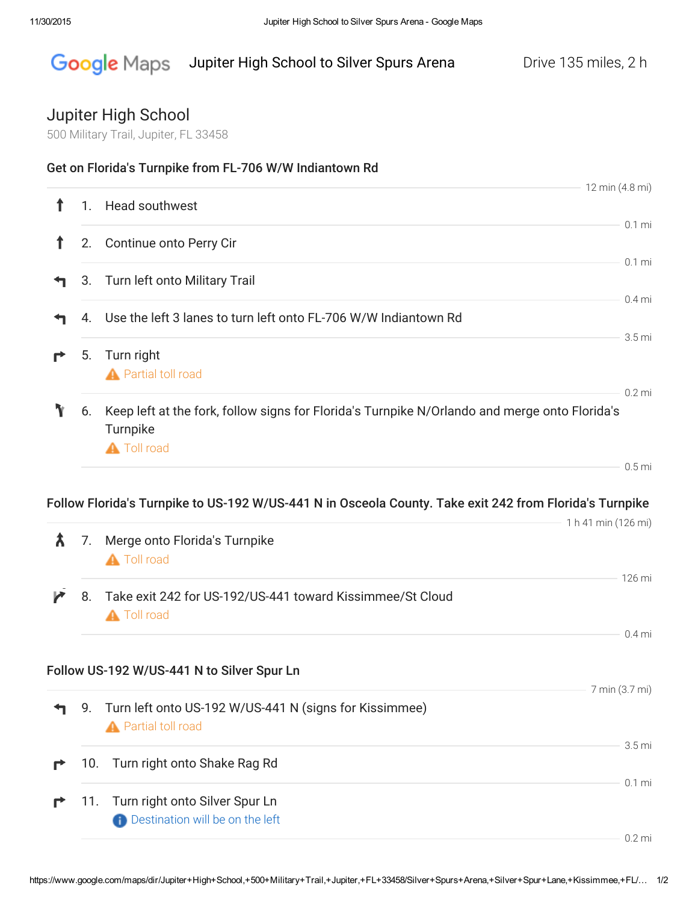## Google Maps Jupiter High School to Silver Spurs Arena Drive 135 miles, 2 h

## Jupiter High School

500 Military Trail, Jupiter, FL 33458

| ↑ | 1.  | Head southwest                                                                                                                  | 12 min (4.8 mi)               |
|---|-----|---------------------------------------------------------------------------------------------------------------------------------|-------------------------------|
|   |     |                                                                                                                                 | $0.1$ mi                      |
| T | 2.  | Continue onto Perry Cir                                                                                                         |                               |
|   | 3.  | Turn left onto Military Trail                                                                                                   | $0.1$ mi                      |
|   | 4.  | Use the left 3 lanes to turn left onto FL-706 W/W Indiantown Rd                                                                 | $0.4$ mi                      |
|   |     |                                                                                                                                 | $3.5 \text{ mi}$              |
| r | 5.  | Turn right<br><b>A</b> Partial toll road                                                                                        | $0.2$ mi                      |
|   | 6.  | Keep left at the fork, follow signs for Florida's Turnpike N/Orlando and merge onto Florida's<br>Turnpike<br><b>A</b> Toll road |                               |
|   |     |                                                                                                                                 | $0.5$ mi                      |
|   |     | Follow Florida's Turnpike to US-192 W/US-441 N in Osceola County. Take exit 242 from Florida's Turnpike                         |                               |
| λ | 7.  | Merge onto Florida's Turnpike<br><b>A</b> Toll road                                                                             | 1 h 41 min (126 mi)           |
| И | 8.  | Take exit 242 for US-192/US-441 toward Kissimmee/St Cloud<br><b>A</b> Toll road                                                 | 126 mi                        |
|   |     |                                                                                                                                 | $0.4$ mi                      |
|   |     | Follow US-192 W/US-441 N to Silver Spur Ln                                                                                      |                               |
|   | 9.  | Turn left onto US-192 W/US-441 N (signs for Kissimmee)<br><b>A</b> Partial toll road                                            | 7 min (3.7 mi)                |
|   | 10. | Turn right onto Shake Rag Rd                                                                                                    |                               |
|   |     |                                                                                                                                 | 3.5 <sub>mi</sub><br>$0.1$ mi |
|   | 11. | Turn right onto Silver Spur Ln<br><b>Contract Destination will be on the left</b>                                               |                               |